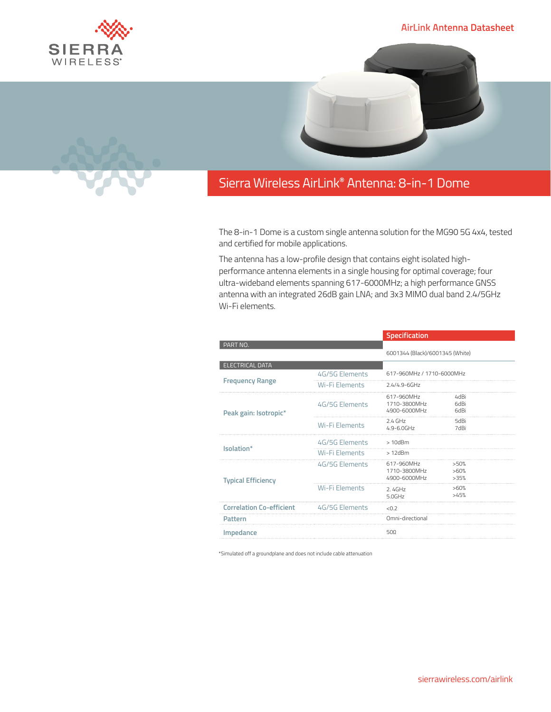## **AirLink Antenna Datasheet**





## Sierra Wireless **EMBEDDED MODULES HL SERIES** AirLink**®** Antenna: 8-in-1 Dome

The 8-in-1 Dome is a custom single antenna solution for the MG90 5G 4x4, tested and certified for mobile applications.

The antenna has a low-profile design that contains eight isolated highperformance antenna elements in a single housing for optimal coverage; four ultra-wideband elements spanning 617-6000MHz; a high performance GNSS antenna with an integrated 26dB gain LNA; and 3x3 MIMO dual band 2.4/5GHz Wi-Fi elements.

|                                 |                       | Specification                              |                      |  |
|---------------------------------|-----------------------|--------------------------------------------|----------------------|--|
| PART NO.                        |                       |                                            |                      |  |
|                                 |                       | 6001344 (Black)/6001345 (White)            |                      |  |
| <b>ELECTRICAL DATA</b>          |                       |                                            |                      |  |
| <b>Frequency Range</b>          | 4G/5G Elements        | 617-960MHz / 1710-6000MHz                  |                      |  |
|                                 | Wi-Fi Elements        | $2.4/4.9 - 6$ GHz                          |                      |  |
| Peak gain: Isotropic*           | 4G/5G Elements        | 617-960MHz<br>1710-3800MHz<br>4900-6000MHz | 4dBi<br>6dBi<br>6dBi |  |
|                                 | Wi-Fi Elements        | $2.4$ GHz<br>$4.9 - 6.0$ GHz               | 5dBi<br>7dBi         |  |
| Isolation*                      | 4G/5G Elements        | $>10$ d $Bm$                               |                      |  |
|                                 | Wi-Fi Elements        | $>12$ d $Bm$                               |                      |  |
| <b>Typical Efficiency</b>       | 4G/5G Elements        | 617-960MHz<br>1710-3800MHz<br>4900-6000MHz | >50%<br>>60%<br>>35% |  |
|                                 | <b>Wi-Fi Elements</b> | 2.4GHz<br>50GHz                            | >60%<br>>45%         |  |
| <b>Correlation Co-efficient</b> | 4G/5G Elements        | < 0.2                                      |                      |  |
| Pattern                         |                       | Omni-directional                           |                      |  |
| Impedance                       |                       | 500                                        |                      |  |

\*Simulated off a groundplane and does not include cable attenuation